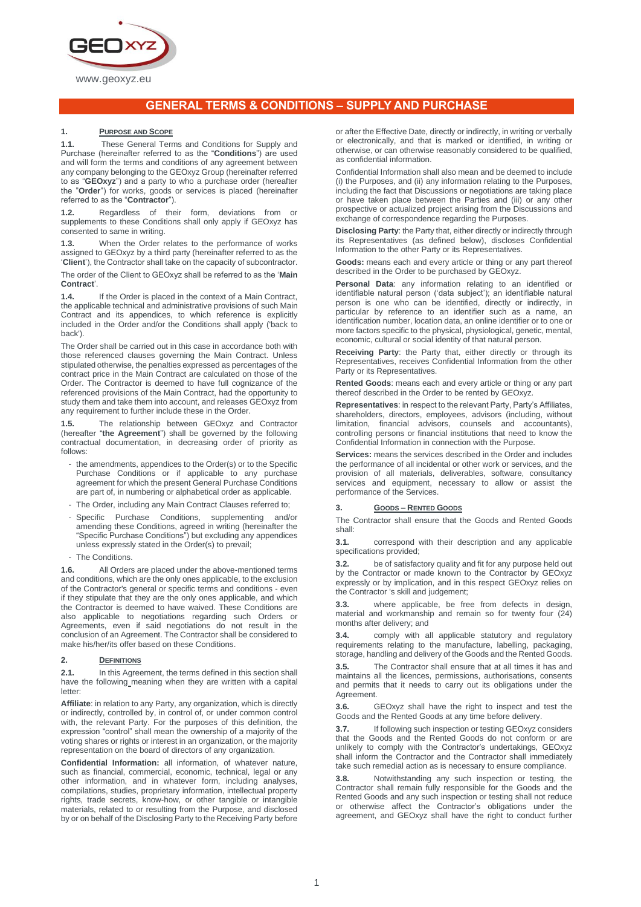

# **GENERAL TERMS & CONDITIONS – SUPPLY AND PURCHASE**

# **1. PURPOSE AND SCOPE**

**1.1.** These General Terms and Conditions for Supply and Purchase (hereinafter referred to as the "**Conditions**") are used and will form the terms and conditions of any agreement between any company belonging to the GEOxyz Group (hereinafter referred to as "**GEOxyz**") and a party to who a purchase order (hereafter the "**Order**") for works, goods or services is placed (hereinafter referred to as the "**Contractor**").

**1.2.** Regardless of their form, deviations from or supplements to these Conditions shall only apply if GEOxyz has consented to same in writing.

**1.3.** When the Order relates to the performance of works assigned to GEOxyz by a third party (hereinafter referred to as the '**Client**'), the Contractor shall take on the capacity of subcontractor.

The order of the Client to GEOxyz shall be referred to as the '**Main Contract**'.

**1.4.** If the Order is placed in the context of a Main Contract, the applicable technical and administrative provisions of such Main Contract and its appendices, to which reference is explicitly included in the Order and/or the Conditions shall apply ('back to back').

The Order shall be carried out in this case in accordance both with those referenced clauses governing the Main Contract. Unless stipulated otherwise, the penalties expressed as percentages of the contract price in the Main Contract are calculated on those of the Order. The Contractor is deemed to have full cognizance of the referenced provisions of the Main Contract, had the opportunity to study them and take them into account, and releases GEOxyz from any requirement to further include these in the Order.

**1.5.** The relationship between GEOxyz and Contractor (hereafter "**the Agreement**") shall be governed by the following contractual documentation, in decreasing order of priority as follows:

- the amendments, appendices to the Order(s) or to the Specific Purchase Conditions or if applicable to any purchase agreement for which the present General Purchase Conditions are part of, in numbering or alphabetical order as applicable.
- The Order, including any Main Contract Clauses referred to;
- Specific Purchase Conditions, supplementing and/or amending these Conditions, agreed in writing (hereinafter the "Specific Purchase Conditions") but excluding any appendices unless expressly stated in the Order(s) to prevail;
- The Conditions.

**1.6.** All Orders are placed under the above-mentioned terms and conditions, which are the only ones applicable, to the exclusion of the Contractor's general or specific terms and conditions - even if they stipulate that they are the only ones applicable, and which the Contractor is deemed to have waived. These Conditions are also applicable to negotiations regarding such Orders or Agreements, even if said negotiations do not result in the conclusion of an Agreement. The Contractor shall be considered to make his/her/its offer based on these Conditions.

# **2. DEFINITIONS**

**2.1.** In this Agreement, the terms defined in this section shall have the following meaning when they are written with a capital letter:

**Affiliate**: in relation to any Party, any organization, which is directly or indirectly, controlled by, in control of, or under common control with, the relevant Party. For the purposes of this definition, the expression "control" shall mean the ownership of a majority of the voting shares or rights or interest in an organization, or the majority representation on the board of directors of any organization.

**Confidential Information:** all information, of whatever nature, such as financial, commercial, economic, technical, legal or any other information, and in whatever form, including analyses, compilations, studies, proprietary information, intellectual property rights, trade secrets, know-how, or other tangible or intangible materials, related to or resulting from the Purpose, and disclosed by or on behalf of the Disclosing Party to the Receiving Party before

or after the Effective Date, directly or indirectly, in writing or verbally or electronically, and that is marked or identified, in writing or otherwise, or can otherwise reasonably considered to be qualified, as confidential information.

Confidential Information shall also mean and be deemed to include (i) the Purposes, and (ii) any information relating to the Purposes, including the fact that Discussions or negotiations are taking place or have taken place between the Parties and (iii) or any other prospective or actualized project arising from the Discussions and exchange of correspondence regarding the Purposes.

**Disclosing Party**: the Party that, either directly or indirectly through its Representatives (as defined below), discloses Confidential Information to the other Party or its Representatives.

**Goods:** means each and every article or thing or any part thereof described in the Order to be purchased by GEOxyz.

**Personal Data**: any information relating to an identified or identifiable natural person ('data subject'); an identifiable natural person is one who can be identified, directly or indirectly, in particular by reference to an identifier such as a name, an identification number, location data, an online identifier or to one or more factors specific to the physical, physiological, genetic, mental, economic, cultural or social identity of that natural person.

**Receiving Party**: the Party that, either directly or through its Representatives, receives Confidential Information from the other Party or its Representatives.

**Rented Goods**: means each and every article or thing or any part thereof described in the Order to be rented by GEOxyz.

**Representatives**: in respect to the relevant Party, Party's Affiliates, shareholders, directors, employees, advisors (including, without limitation, financial advisors, counsels and accountants), controlling persons or financial institutions that need to know the Confidential Information in connection with the Purpose.

**Services:** means the services described in the Order and includes the performance of all incidental or other work or services, and the provision of all materials, deliverables, software, consultancy services and equipment, necessary to allow or assist the performance of the Services.

#### **3. GOODS – RENTED GOODS**

The Contractor shall ensure that the Goods and Rented Goods shall:

**3.1.** correspond with their description and any applicable specifications provided;

**3.2.** be of satisfactory quality and fit for any purpose held out by the Contractor or made known to the Contractor by GEOxyz expressly or by implication, and in this respect GEOxyz relies on the Contractor 's skill and judgement;

**3.3.** where applicable, be free from defects in design, material and workmanship and remain so for twenty four (24) months after delivery; and

**3.4.** comply with all applicable statutory and regulatory requirements relating to the manufacture, labelling, packaging, storage, handling and delivery of the Goods and the Rented Goods.

**3.5.** The Contractor shall ensure that at all times it has and maintains all the licences, permissions, authorisations, consents and permits that it needs to carry out its obligations under the Agreement.

**3.6.** GEOxyz shall have the right to inspect and test the Goods and the Rented Goods at any time before delivery.

**3.7.** If following such inspection or testing GEOxyz considers that the Goods and the Rented Goods do not conform or are unlikely to comply with the Contractor's undertakings, GEOxyz shall inform the Contractor and the Contractor shall immediately take such remedial action as is necessary to ensure compliance.

**3.8.** Notwithstanding any such inspection or testing, the Contractor shall remain fully responsible for the Goods and the Rented Goods and any such inspection or testing shall not reduce or otherwise affect the Contractor's obligations under the agreement, and GEOxyz shall have the right to conduct further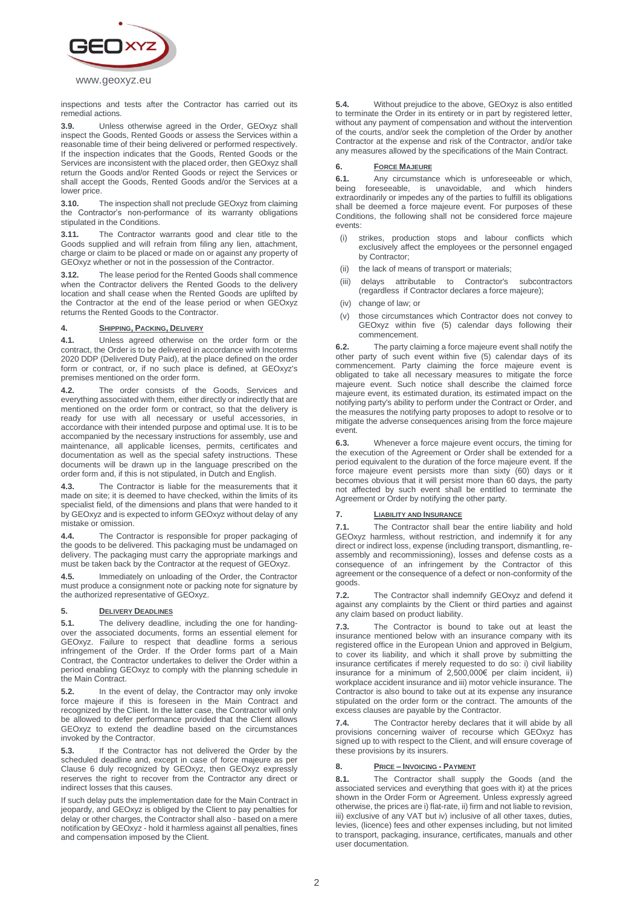

inspections and tests after the Contractor has carried out its remedial actions.

**3.9.** Unless otherwise agreed in the Order, GEOxyz shall inspect the Goods, Rented Goods or assess the Services within a reasonable time of their being delivered or performed respectively. If the inspection indicates that the Goods, Rented Goods or the Services are inconsistent with the placed order, then GEOxyz shall return the Goods and/or Rented Goods or reject the Services or shall accept the Goods, Rented Goods and/or the Services at a lower price.

**3.10.** The inspection shall not preclude GEOxyz from claiming the Contractor's non-performance of its warranty obligations stipulated in the Conditions.

**3.11.** The Contractor warrants good and clear title to the Goods supplied and will refrain from filing any lien, attachment, charge or claim to be placed or made on or against any property of GEOxyz whether or not in the possession of the Contractor.

**3.12.** The lease period for the Rented Goods shall commence when the Contractor delivers the Rented Goods to the delivery location and shall cease when the Rented Goods are uplifted by the Contractor at the end of the lease period or when GEOxyz returns the Rented Goods to the Contractor.

## **4. SHIPPING, PACKING, DELIVERY**

**4.1.** Unless agreed otherwise on the order form or the contract, the Order is to be delivered in accordance with Incoterms 2020 DDP (Delivered Duty Paid), at the place defined on the order form or contract, or, if no such place is defined, at GEOxyz's premises mentioned on the order form.

**4.2.** The order consists of the Goods, Services and everything associated with them, either directly or indirectly that are mentioned on the order form or contract, so that the delivery is ready for use with all necessary or useful accessories, in accordance with their intended purpose and optimal use. It is to be accompanied by the necessary instructions for assembly, use and maintenance, all applicable licenses, permits, certificates and documentation as well as the special safety instructions. These documents will be drawn up in the language prescribed on the order form and, if this is not stipulated, in Dutch and English.

**4.3.** The Contractor is liable for the measurements that it made on site; it is deemed to have checked, within the limits of its specialist field, of the dimensions and plans that were handed to it by GEOxyz and is expected to inform GEOxyz without delay of any mistake or omission.

**4.4.** The Contractor is responsible for proper packaging of the goods to be delivered. This packaging must be undamaged on delivery. The packaging must carry the appropriate markings and must be taken back by the Contractor at the request of GEOxyz.

**4.5.** Immediately on unloading of the Order, the Contractor must produce a consignment note or packing note for signature by the authorized representative of GEOxyz.

# **5. DELIVERY DEADLINES**

**5.1.** The delivery deadline, including the one for handingover the associated documents, forms an essential element for GEOxyz. Failure to respect that deadline forms a serious infringement of the Order. If the Order forms part of a Main Contract, the Contractor undertakes to deliver the Order within a period enabling GEOxyz to comply with the planning schedule in the Main Contract.

**5.2.** In the event of delay, the Contractor may only invoke force majeure if this is foreseen in the Main Contract and recognized by the Client. In the latter case, the Contractor will only be allowed to defer performance provided that the Client allows GEOxyz to extend the deadline based on the circumstances invoked by the Contractor.

**5.3.** If the Contractor has not delivered the Order by the scheduled deadline and, except in case of force majeure as per Clause 6 duly recognized by GEOxyz, then GEOxyz expressly reserves the right to recover from the Contractor any direct or indirect losses that this causes.

If such delay puts the implementation date for the Main Contract in jeopardy, and GEOxyz is obliged by the Client to pay penalties for delay or other charges, the Contractor shall also - based on a mere notification by GEOxyz - hold it harmless against all penalties, fines and compensation imposed by the Client.

**5.4.** Without prejudice to the above, GEOxyz is also entitled to terminate the Order in its entirety or in part by registered letter, without any payment of compensation and without the intervention of the courts, and/or seek the completion of the Order by another Contractor at the expense and risk of the Contractor, and/or take any measures allowed by the specifications of the Main Contract.

## **6. FORCE MAJEURE**

**6.1.** Any circumstance which is unforeseeable or which, being foreseeable. is unavoidable, and which hinders foreseeable, is unavoidable, and which hinders extraordinarily or impedes any of the parties to fulfill its obligations shall be deemed a force majeure event. For purposes of these Conditions, the following shall not be considered force majeure events:

- (i) strikes, production stops and labour conflicts which exclusively affect the employees or the personnel engaged by Contractor;
- (ii) the lack of means of transport or materials;
- (iii) delays attributable to Contractor's subcontractors (regardless if Contractor declares a force majeure);
- (iv) change of law; or
- (v) those circumstances which Contractor does not convey to GEOxyz within five (5) calendar days following their commencement.

**6.2.** The party claiming a force majeure event shall notify the other party of such event within five (5) calendar days of its commencement. Party claiming the force majeure event is obligated to take all necessary measures to mitigate the force majeure event. Such notice shall describe the claimed force majeure event, its estimated duration, its estimated impact on the notifying party's ability to perform under the Contract or Order, and the measures the notifying party proposes to adopt to resolve or to mitigate the adverse consequences arising from the force majeure event.

**6.3.** Whenever a force majeure event occurs, the timing for the execution of the Agreement or Order shall be extended for a period equivalent to the duration of the force majeure event. If the force majeure event persists more than sixty (60) days or it becomes obvious that it will persist more than 60 days, the party not affected by such event shall be entitled to terminate the Agreement or Order by notifying the other party.

# **7. LIABILITY AND INSURANCE**

**7.1.** The Contractor shall bear the entire liability and hold GEOxyz harmless, without restriction, and indemnify it for any direct or indirect loss, expense (including transport, dismantling, reassembly and recommissioning), losses and defense costs as a consequence of an infringement by the Contractor of this agreement or the consequence of a defect or non-conformity of the goods.

**7.2.** The Contractor shall indemnify GEOxyz and defend it against any complaints by the Client or third parties and against any claim based on product liability.

**7.3.** The Contractor is bound to take out at least the insurance mentioned below with an insurance company with its registered office in the European Union and approved in Belgium, to cover its liability, and which it shall prove by submitting the insurance certificates if merely requested to do so: i) civil liability insurance for a minimum of 2,500,000€ per claim incident, ii) workplace accident insurance and iii) motor vehicle insurance. The Contractor is also bound to take out at its expense any insurance stipulated on the order form or the contract. The amounts of the excess clauses are payable by the Contractor.

**7.4.** The Contractor hereby declares that it will abide by all provisions concerning waiver of recourse which GEOxyz has signed up to with respect to the Client, and will ensure coverage of these provisions by its insurers.

# **8. PRICE – INVOICING - PAYMENT**

**8.1.** The Contractor shall supply the Goods (and the associated services and everything that goes with it) at the prices shown in the Order Form or Agreement. Unless expressly agreed otherwise, the prices are i) flat-rate, ii) firm and not liable to revision, iii) exclusive of any VAT but iv) inclusive of all other taxes, duties, levies, (licence) fees and other expenses including, but not limited to transport, packaging, insurance, certificates, manuals and other user documentation.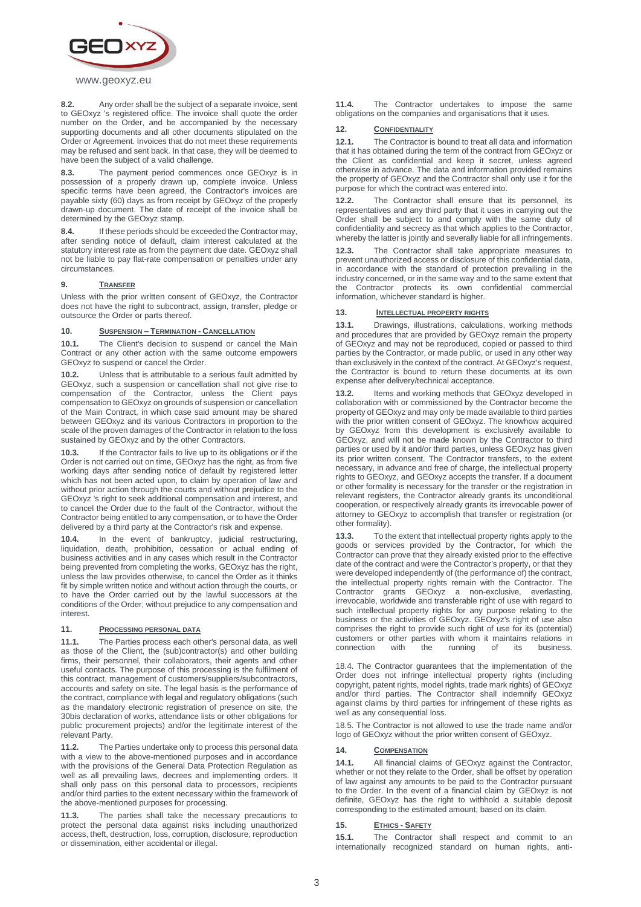

# www.geoxyz.eu

**8.2.** Any order shall be the subject of a separate invoice, sent to GEOxyz 's registered office. The invoice shall quote the order number on the Order, and be accompanied by the necessary supporting documents and all other documents stipulated on the Order or Agreement. Invoices that do not meet these requirements may be refused and sent back. In that case, they will be deemed to have been the subject of a valid challenge.

**8.3.** The payment period commences once GEOxyz is in possession of a properly drawn up, complete invoice. Unless specific terms have been agreed, the Contractor's invoices are payable sixty (60) days as from receipt by GEOxyz of the properly drawn-up document. The date of receipt of the invoice shall be determined by the GEOxyz stamp.

**8.4.** If these periods should be exceeded the Contractor may, after sending notice of default, claim interest calculated at the statutory interest rate as from the payment due date. GEOxyz shall not be liable to pay flat-rate compensation or penalties under any circumstances.

#### **9. TRANSFER**

Unless with the prior written consent of GEOxyz, the Contractor does not have the right to subcontract, assign, transfer, pledge or outsource the Order or parts thereof.

#### **10. SUSPENSION – TERMINATION - CANCELLATION**

**10.1.** The Client's decision to suspend or cancel the Main Contract or any other action with the same outcome empowers GEOxyz to suspend or cancel the Order.

**10.2.** Unless that is attributable to a serious fault admitted by GEOxyz, such a suspension or cancellation shall not give rise to compensation of the Contractor, unless the Client pays compensation to GEOxyz on grounds of suspension or cancellation of the Main Contract, in which case said amount may be shared between GEOxyz and its various Contractors in proportion to the scale of the proven damages of the Contractor in relation to the loss sustained by GEOxyz and by the other Contractors.

**10.3.** If the Contractor fails to live up to its obligations or if the Order is not carried out on time, GEOxyz has the right, as from five working days after sending notice of default by registered letter which has not been acted upon, to claim by operation of law and without prior action through the courts and without prejudice to the GEOxyz 's right to seek additional compensation and interest, and to cancel the Order due to the fault of the Contractor, without the Contractor being entitled to any compensation, or to have the Order delivered by a third party at the Contractor's risk and expense.

**10.4.** In the event of bankruptcy, judicial restructuring, liquidation, death, prohibition, cessation or actual ending of business activities and in any cases which result in the Contractor being prevented from completing the works, GEOxyz has the right, unless the law provides otherwise, to cancel the Order as it thinks fit by simple written notice and without action through the courts, or to have the Order carried out by the lawful successors at the conditions of the Order, without prejudice to any compensation and interest.

#### **11. PROCESSING PERSONAL DATA**

**11.1.** The Parties process each other's personal data, as well as those of the Client, the (sub)contractor(s) and other building firms, their personnel, their collaborators, their agents and other useful contacts. The purpose of this processing is the fulfilment of this contract, management of customers/suppliers/subcontractors, accounts and safety on site. The legal basis is the performance of the contract, compliance with legal and regulatory obligations (such as the mandatory electronic registration of presence on site, the 30bis declaration of works, attendance lists or other obligations for public procurement projects) and/or the legitimate interest of the relevant Party.

**11.2.** The Parties undertake only to process this personal data with a view to the above-mentioned purposes and in accordance with the provisions of the General Data Protection Regulation as well as all prevailing laws, decrees and implementing orders. It shall only pass on this personal data to processors, recipients and/or third parties to the extent necessary within the framework of the above-mentioned purposes for processing.

**11.3.** The parties shall take the necessary precautions to protect the personal data against risks including unauthorized access, theft, destruction, loss, corruption, disclosure, reproduction or dissemination, either accidental or illegal.

**11.4.** The Contractor undertakes to impose the same obligations on the companies and organisations that it uses.

## **12. CONFIDENTIALITY**

**12.1.** The Contractor is bound to treat all data and information that it has obtained during the term of the contract from GEOxyz or the Client as confidential and keep it secret, unless agreed otherwise in advance. The data and information provided remains the property of GEOxyz and the Contractor shall only use it for the purpose for which the contract was entered into.

**12.2.** The Contractor shall ensure that its personnel, its representatives and any third party that it uses in carrying out the Order shall be subject to and comply with the same duty of confidentiality and secrecy as that which applies to the Contractor, whereby the latter is jointly and severally liable for all infringements.

**12.3.** The Contractor shall take appropriate measures to prevent unauthorized access or disclosure of this confidential data, in accordance with the standard of protection prevailing in the industry concerned, or in the same way and to the same extent that the Contractor protects its own confidential commercial information, whichever standard is higher.

#### **13. INTELLECTUAL PROPERTY RIGHTS**

**13.1.** Drawings, illustrations, calculations, working methods and procedures that are provided by GEOxyz remain the property of GEOxyz and may not be reproduced, copied or passed to third parties by the Contractor, or made public, or used in any other way than exclusively in the context of the contract. At GEOxyz's request, the Contractor is bound to return these documents at its own expense after delivery/technical acceptance.

**13.2.** Items and working methods that GEOxyz developed in collaboration with or commissioned by the Contractor become the property of GEOxyz and may only be made available to third parties with the prior written consent of GEOxyz. The knowhow acquired by GEOxyz from this development is exclusively available to GEOxyz, and will not be made known by the Contractor to third parties or used by it and/or third parties, unless GEOxyz has given its prior written consent. The Contractor transfers, to the extent necessary, in advance and free of charge, the intellectual property rights to GEOxyz, and GEOxyz accepts the transfer. If a document or other formality is necessary for the transfer or the registration in relevant registers, the Contractor already grants its unconditional cooperation, or respectively already grants its irrevocable power of attorney to GEOxyz to accomplish that transfer or registration (or other formality).

**13.3.** To the extent that intellectual property rights apply to the goods or services provided by the Contractor, for which the Contractor can prove that they already existed prior to the effective date of the contract and were the Contractor's property, or that they were developed independently of (the performance of) the contract, the intellectual property rights remain with the Contractor. The Contractor grants GEOxyz a non-exclusive, everlasting, irrevocable, worldwide and transferable right of use with regard to such intellectual property rights for any purpose relating to the business or the activities of GEOxyz. GEOxyz's right of use also comprises the right to provide such right of use for its (potential) customers or other parties with whom it maintains relations in connection with the running of its business.

18.4. The Contractor guarantees that the implementation of the Order does not infringe intellectual property rights (including copyright, patent rights, model rights, trade mark rights) of GEOxyz and/or third parties. The Contractor shall indemnify GEOxyz against claims by third parties for infringement of these rights as well as any consequential loss.

18.5. The Contractor is not allowed to use the trade name and/or logo of GEOxyz without the prior written consent of GEOxyz.

#### **14. COMPENSATION**

**14.1.** All financial claims of GEOxyz against the Contractor, whether or not they relate to the Order, shall be offset by operation of law against any amounts to be paid to the Contractor pursuant to the Order. In the event of a financial claim by GEOxyz is not definite, GEOxyz has the right to withhold a suitable deposit corresponding to the estimated amount, based on its claim.

#### **15. ETHICS - SAFETY**

**15.1.** The Contractor shall respect and commit to an internationally recognized standard on human rights, anti-